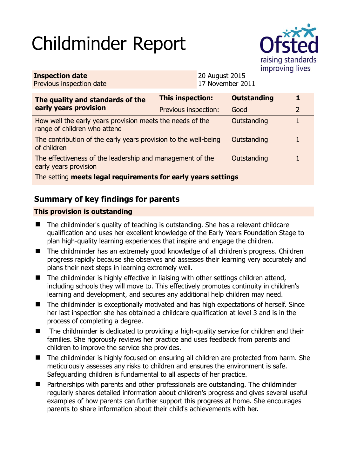# Childminder Report



| <b>Inspection date</b>   | <b>20 August 2015</b> |
|--------------------------|-----------------------|
| Previous inspection date | 17 November 2011      |

| The quality and standards of the<br>early years provision                                 | <b>This inspection:</b> | <b>Outstanding</b> | 1              |
|-------------------------------------------------------------------------------------------|-------------------------|--------------------|----------------|
|                                                                                           | Previous inspection:    | Good               | $\overline{2}$ |
| How well the early years provision meets the needs of the<br>range of children who attend |                         | Outstanding        |                |
| The contribution of the early years provision to the well-being<br>of children            |                         | Outstanding        |                |
| The effectiveness of the leadership and management of the<br>early years provision        |                         | Outstanding        |                |
| The setting meets legal requirements for early years settings                             |                         |                    |                |

## **Summary of key findings for parents**

#### **This provision is outstanding**

- The childminder's quality of teaching is outstanding. She has a relevant childcare qualification and uses her excellent knowledge of the Early Years Foundation Stage to plan high-quality learning experiences that inspire and engage the children.
- The childminder has an extremely good knowledge of all children's progress. Children progress rapidly because she observes and assesses their learning very accurately and plans their next steps in learning extremely well.
- The childminder is highly effective in liaising with other settings children attend, including schools they will move to. This effectively promotes continuity in children's learning and development, and secures any additional help children may need.
- The childminder is exceptionally motivated and has high expectations of herself. Since her last inspection she has obtained a childcare qualification at level 3 and is in the process of completing a degree.
- The childminder is dedicated to providing a high-quality service for children and their families. She rigorously reviews her practice and uses feedback from parents and children to improve the service she provides.
- The childminder is highly focused on ensuring all children are protected from harm. She meticulously assesses any risks to children and ensures the environment is safe. Safeguarding children is fundamental to all aspects of her practice.
- Partnerships with parents and other professionals are outstanding. The childminder regularly shares detailed information about children's progress and gives several useful examples of how parents can further support this progress at home. She encourages parents to share information about their child's achievements with her.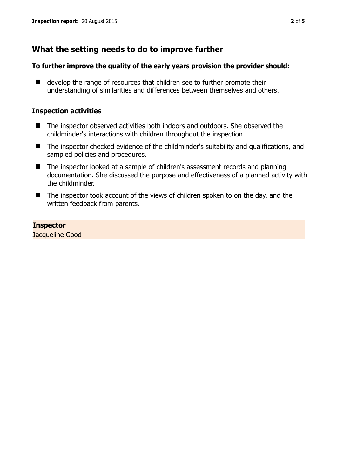## **What the setting needs to do to improve further**

#### **To further improve the quality of the early years provision the provider should:**

■ develop the range of resources that children see to further promote their understanding of similarities and differences between themselves and others.

#### **Inspection activities**

- The inspector observed activities both indoors and outdoors. She observed the childminder's interactions with children throughout the inspection.
- The inspector checked evidence of the childminder's suitability and qualifications, and sampled policies and procedures.
- The inspector looked at a sample of children's assessment records and planning documentation. She discussed the purpose and effectiveness of a planned activity with the childminder.
- The inspector took account of the views of children spoken to on the day, and the written feedback from parents.

#### **Inspector**

Jacqueline Good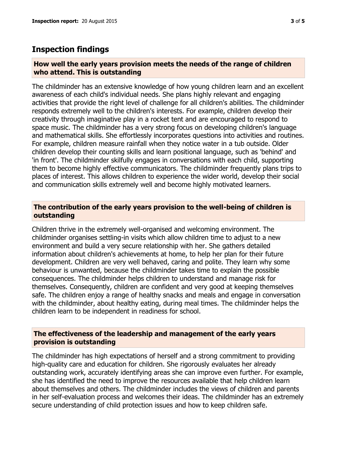### **Inspection findings**

#### **How well the early years provision meets the needs of the range of children who attend. This is outstanding**

The childminder has an extensive knowledge of how young children learn and an excellent awareness of each child's individual needs. She plans highly relevant and engaging activities that provide the right level of challenge for all children's abilities. The childminder responds extremely well to the children's interests. For example, children develop their creativity through imaginative play in a rocket tent and are encouraged to respond to space music. The childminder has a very strong focus on developing children's language and mathematical skills. She effortlessly incorporates questions into activities and routines. For example, children measure rainfall when they notice water in a tub outside. Older children develop their counting skills and learn positional language, such as 'behind' and 'in front'. The childminder skilfully engages in conversations with each child, supporting them to become highly effective communicators. The childminder frequently plans trips to places of interest. This allows children to experience the wider world, develop their social and communication skills extremely well and become highly motivated learners.

#### **The contribution of the early years provision to the well-being of children is outstanding**

Children thrive in the extremely well-organised and welcoming environment. The childminder organises settling-in visits which allow children time to adjust to a new environment and build a very secure relationship with her. She gathers detailed information about children's achievements at home, to help her plan for their future development. Children are very well behaved, caring and polite. They learn why some behaviour is unwanted, because the childminder takes time to explain the possible consequences. The childminder helps children to understand and manage risk for themselves. Consequently, children are confident and very good at keeping themselves safe. The children enjoy a range of healthy snacks and meals and engage in conversation with the childminder, about healthy eating, during meal times. The childminder helps the children learn to be independent in readiness for school.

#### **The effectiveness of the leadership and management of the early years provision is outstanding**

The childminder has high expectations of herself and a strong commitment to providing high-quality care and education for children. She rigorously evaluates her already outstanding work, accurately identifying areas she can improve even further. For example, she has identified the need to improve the resources available that help children learn about themselves and others. The childminder includes the views of children and parents in her self-evaluation process and welcomes their ideas. The childminder has an extremely secure understanding of child protection issues and how to keep children safe.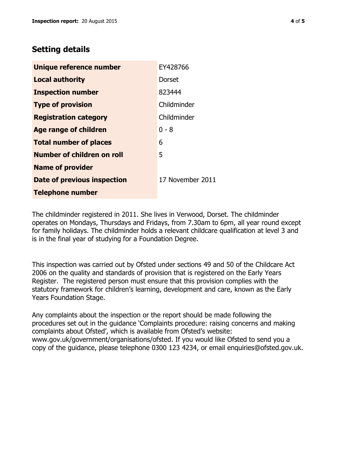## **Setting details**

| Unique reference number       | EY428766         |
|-------------------------------|------------------|
| <b>Local authority</b>        | Dorset           |
| <b>Inspection number</b>      | 823444           |
| <b>Type of provision</b>      | Childminder      |
| <b>Registration category</b>  | Childminder      |
| <b>Age range of children</b>  | 0 - 8            |
| <b>Total number of places</b> | 6                |
| Number of children on roll    | 5                |
| <b>Name of provider</b>       |                  |
| Date of previous inspection   | 17 November 2011 |
| <b>Telephone number</b>       |                  |

The childminder registered in 2011. She lives in Verwood, Dorset. The childminder operates on Mondays, Thursdays and Fridays, from 7.30am to 6pm, all year round except for family holidays. The childminder holds a relevant childcare qualification at level 3 and is in the final year of studying for a Foundation Degree.

This inspection was carried out by Ofsted under sections 49 and 50 of the Childcare Act 2006 on the quality and standards of provision that is registered on the Early Years Register. The registered person must ensure that this provision complies with the statutory framework for children's learning, development and care, known as the Early Years Foundation Stage.

Any complaints about the inspection or the report should be made following the procedures set out in the guidance 'Complaints procedure: raising concerns and making complaints about Ofsted', which is available from Ofsted's website: www.gov.uk/government/organisations/ofsted. If you would like Ofsted to send you a copy of the guidance, please telephone 0300 123 4234, or email enquiries@ofsted.gov.uk.